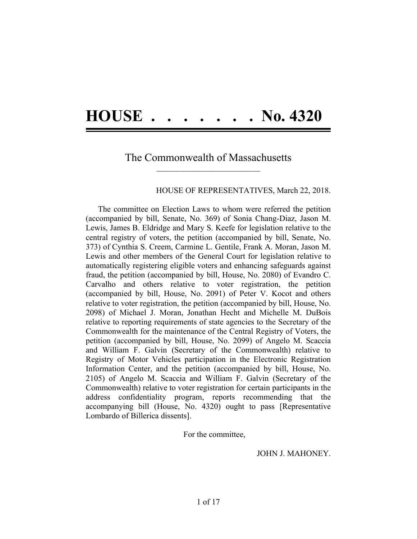# **HOUSE . . . . . . . No. 4320**

### The Commonwealth of Massachusetts **\_\_\_\_\_\_\_\_\_\_\_\_\_\_\_\_\_\_\_\_\_\_\_\_\_\_\_\_\_\_\_\_\_\_\_\_\_\_**

### HOUSE OF REPRESENTATIVES, March 22, 2018.

The committee on Election Laws to whom were referred the petition (accompanied by bill, Senate, No. 369) of Sonia Chang-Diaz, Jason M. Lewis, James B. Eldridge and Mary S. Keefe for legislation relative to the central registry of voters, the petition (accompanied by bill, Senate, No. 373) of Cynthia S. Creem, Carmine L. Gentile, Frank A. Moran, Jason M. Lewis and other members of the General Court for legislation relative to automatically registering eligible voters and enhancing safeguards against fraud, the petition (accompanied by bill, House, No. 2080) of Evandro C. Carvalho and others relative to voter registration, the petition (accompanied by bill, House, No. 2091) of Peter V. Kocot and others relative to voter registration, the petition (accompanied by bill, House, No. 2098) of Michael J. Moran, Jonathan Hecht and Michelle M. DuBois relative to reporting requirements of state agencies to the Secretary of the Commonwealth for the maintenance of the Central Registry of Voters, the petition (accompanied by bill, House, No. 2099) of Angelo M. Scaccia and William F. Galvin (Secretary of the Commonwealth) relative to Registry of Motor Vehicles participation in the Electronic Registration Information Center, and the petition (accompanied by bill, House, No. 2105) of Angelo M. Scaccia and William F. Galvin (Secretary of the Commonwealth) relative to voter registration for certain participants in the address confidentiality program, reports recommending that the accompanying bill (House, No. 4320) ought to pass [Representative Lombardo of Billerica dissents].

For the committee,

JOHN J. MAHONEY.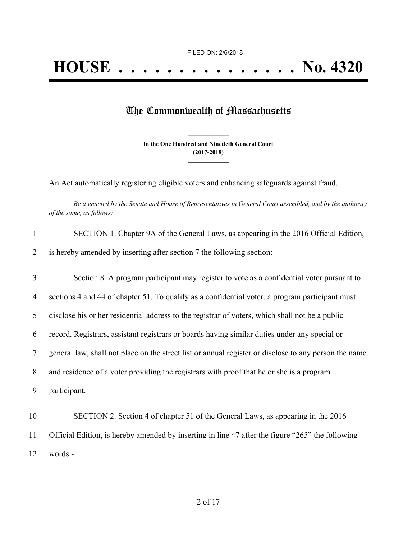## The Commonwealth of Massachusetts

**In the One Hundred and Ninetieth General Court (2017-2018) \_\_\_\_\_\_\_\_\_\_\_\_\_\_\_**

**\_\_\_\_\_\_\_\_\_\_\_\_\_\_\_**

An Act automatically registering eligible voters and enhancing safeguards against fraud.

Be it enacted by the Senate and House of Representatives in General Court assembled, and by the authority *of the same, as follows:*

| $\mathbf{1}$ | SECTION 1. Chapter 9A of the General Laws, as appearing in the 2016 Official Edition,                 |
|--------------|-------------------------------------------------------------------------------------------------------|
| 2            | is hereby amended by inserting after section 7 the following section:-                                |
| 3            | Section 8. A program participant may register to vote as a confidential voter pursuant to             |
| 4            | sections 4 and 44 of chapter 51. To qualify as a confidential voter, a program participant must       |
| 5            | disclose his or her residential address to the registrar of voters, which shall not be a public       |
| 6            | record. Registrars, assistant registrars or boards having similar duties under any special or         |
| 7            | general law, shall not place on the street list or annual register or disclose to any person the name |
| 8            | and residence of a voter providing the registrars with proof that he or she is a program              |
| 9            | participant.                                                                                          |
| 10           | SECTION 2. Section 4 of chapter 51 of the General Laws, as appearing in the 2016                      |
| 11           | Official Edition, is hereby amended by inserting in line 47 after the figure "265" the following      |
| 12           | words:-                                                                                               |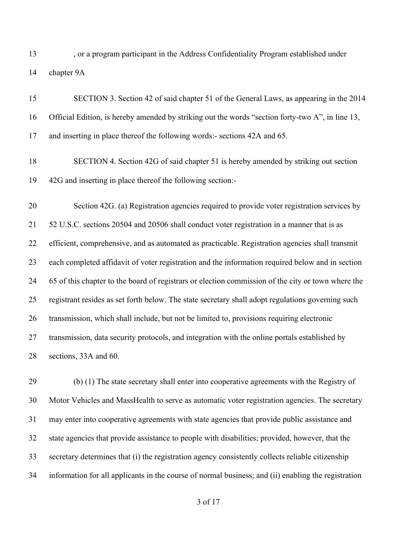13 , or a program participant in the Address Confidentiality Program established under chapter 9A

| 15 | SECTION 3. Section 42 of said chapter 51 of the General Laws, as appearing in the 2014             |
|----|----------------------------------------------------------------------------------------------------|
| 16 | Official Edition, is hereby amended by striking out the words "section forty-two A", in line 13,   |
| 17 | and inserting in place thereof the following words:- sections 42A and 65.                          |
| 18 | SECTION 4. Section 42G of said chapter 51 is hereby amended by striking out section                |
| 19 | 42G and inserting in place thereof the following section:-                                         |
| 20 | Section 42G. (a) Registration agencies required to provide voter registration services by          |
| 21 | 52 U.S.C. sections 20504 and 20506 shall conduct voter registration in a manner that is as         |
| 22 | efficient, comprehensive, and as automated as practicable. Registration agencies shall transmit    |
| 23 | each completed affidavit of voter registration and the information required below and in section   |
| 24 | 65 of this chapter to the board of registrars or election commission of the city or town where the |
| 25 | registrant resides as set forth below. The state secretary shall adopt regulations governing such  |
| 26 | transmission, which shall include, but not be limited to, provisions requiring electronic          |
| 27 | transmission, data security protocols, and integration with the online portals established by      |
| 28 | sections, 33A and 60.                                                                              |

 (b) (1) The state secretary shall enter into cooperative agreements with the Registry of Motor Vehicles and MassHealth to serve as automatic voter registration agencies. The secretary may enter into cooperative agreements with state agencies that provide public assistance and state agencies that provide assistance to people with disabilities; provided, however, that the secretary determines that (i) the registration agency consistently collects reliable citizenship information for all applicants in the course of normal business; and (ii) enabling the registration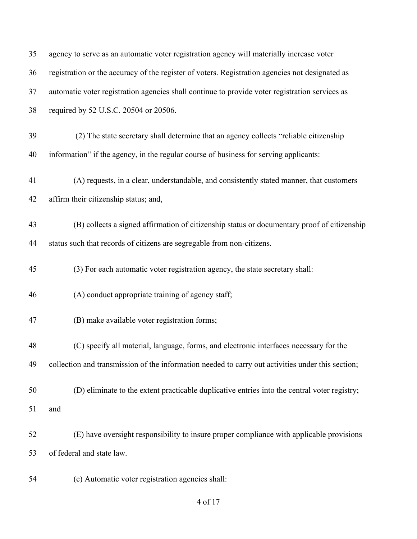| 35 | agency to serve as an automatic voter registration agency will materially increase voter          |
|----|---------------------------------------------------------------------------------------------------|
| 36 | registration or the accuracy of the register of voters. Registration agencies not designated as   |
| 37 | automatic voter registration agencies shall continue to provide voter registration services as    |
| 38 | required by 52 U.S.C. 20504 or 20506.                                                             |
| 39 | (2) The state secretary shall determine that an agency collects "reliable citizenship             |
| 40 | information" if the agency, in the regular course of business for serving applicants:             |
| 41 | (A) requests, in a clear, understandable, and consistently stated manner, that customers          |
| 42 | affirm their citizenship status; and,                                                             |
| 43 | (B) collects a signed affirmation of citizenship status or documentary proof of citizenship       |
| 44 | status such that records of citizens are segregable from non-citizens.                            |
| 45 | (3) For each automatic voter registration agency, the state secretary shall:                      |
| 46 | (A) conduct appropriate training of agency staff;                                                 |
| 47 | (B) make available voter registration forms;                                                      |
| 48 | (C) specify all material, language, forms, and electronic interfaces necessary for the            |
| 49 | collection and transmission of the information needed to carry out activities under this section; |
| 50 | (D) eliminate to the extent practicable duplicative entries into the central voter registry;      |
| 51 | and                                                                                               |
| 52 | (E) have oversight responsibility to insure proper compliance with applicable provisions          |
| 53 | of federal and state law.                                                                         |
| 54 | (c) Automatic voter registration agencies shall:                                                  |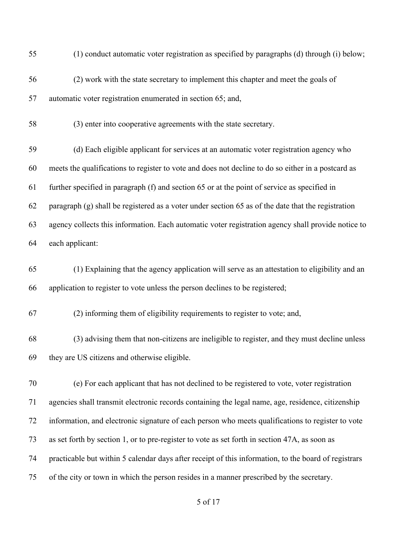| 55 | (1) conduct automatic voter registration as specified by paragraphs (d) through (i) below;           |
|----|------------------------------------------------------------------------------------------------------|
| 56 | (2) work with the state secretary to implement this chapter and meet the goals of                    |
| 57 | automatic voter registration enumerated in section 65; and,                                          |
| 58 | (3) enter into cooperative agreements with the state secretary.                                      |
| 59 | (d) Each eligible applicant for services at an automatic voter registration agency who               |
| 60 | meets the qualifications to register to vote and does not decline to do so either in a postcard as   |
| 61 | further specified in paragraph (f) and section 65 or at the point of service as specified in         |
| 62 | paragraph (g) shall be registered as a voter under section 65 as of the date that the registration   |
| 63 | agency collects this information. Each automatic voter registration agency shall provide notice to   |
| 64 | each applicant:                                                                                      |
| 65 | (1) Explaining that the agency application will serve as an attestation to eligibility and an        |
| 66 | application to register to vote unless the person declines to be registered;                         |
| 67 | (2) informing them of eligibility requirements to register to vote; and,                             |
| 68 | (3) advising them that non-citizens are ineligible to register, and they must decline unless         |
| 69 | they are US citizens and otherwise eligible.                                                         |
| 70 | (e) For each applicant that has not declined to be registered to vote, voter registration            |
| 71 | agencies shall transmit electronic records containing the legal name, age, residence, citizenship    |
| 72 | information, and electronic signature of each person who meets qualifications to register to vote    |
| 73 | as set forth by section 1, or to pre-register to vote as set forth in section 47A, as soon as        |
| 74 | practicable but within 5 calendar days after receipt of this information, to the board of registrars |
| 75 | of the city or town in which the person resides in a manner prescribed by the secretary.             |
|    |                                                                                                      |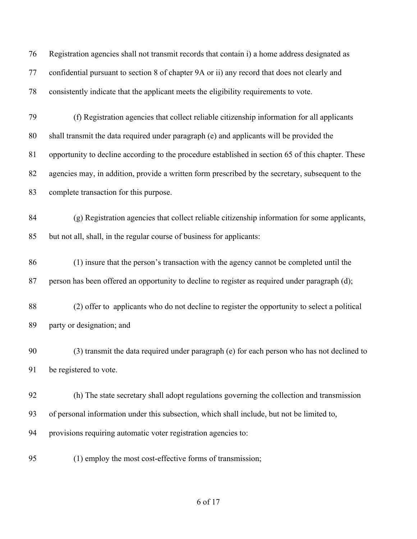| 76 | Registration agencies shall not transmit records that contain i) a home address designated as      |
|----|----------------------------------------------------------------------------------------------------|
| 77 | confidential pursuant to section 8 of chapter 9A or ii) any record that does not clearly and       |
| 78 | consistently indicate that the applicant meets the eligibility requirements to vote.               |
| 79 | (f) Registration agencies that collect reliable citizenship information for all applicants         |
| 80 | shall transmit the data required under paragraph (e) and applicants will be provided the           |
| 81 | opportunity to decline according to the procedure established in section 65 of this chapter. These |
| 82 | agencies may, in addition, provide a written form prescribed by the secretary, subsequent to the   |
| 83 | complete transaction for this purpose.                                                             |
| 84 | (g) Registration agencies that collect reliable citizenship information for some applicants,       |
| 85 | but not all, shall, in the regular course of business for applicants:                              |
| 86 | (1) insure that the person's transaction with the agency cannot be completed until the             |
| 87 | person has been offered an opportunity to decline to register as required under paragraph (d);     |
| 88 | (2) offer to applicants who do not decline to register the opportunity to select a political       |
| 89 | party or designation; and                                                                          |
| 90 | (3) transmit the data required under paragraph (e) for each person who has not declined to         |
| 91 | be registered to vote.                                                                             |
| 92 | (h) The state secretary shall adopt regulations governing the collection and transmission          |
| 93 | of personal information under this subsection, which shall include, but not be limited to,         |
| 94 | provisions requiring automatic voter registration agencies to:                                     |
| 95 | (1) employ the most cost-effective forms of transmission;                                          |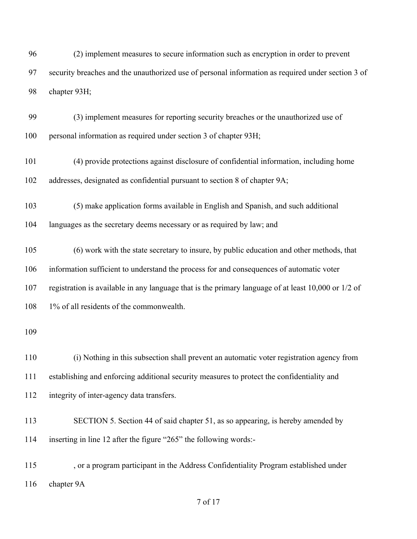(2) implement measures to secure information such as encryption in order to prevent security breaches and the unauthorized use of personal information as required under section 3 of chapter 93H;

 (3) implement measures for reporting security breaches or the unauthorized use of personal information as required under section 3 of chapter 93H;

 (4) provide protections against disclosure of confidential information, including home addresses, designated as confidential pursuant to section 8 of chapter 9A;

(5) make application forms available in English and Spanish, and such additional

languages as the secretary deems necessary or as required by law; and

 (6) work with the state secretary to insure, by public education and other methods, that information sufficient to understand the process for and consequences of automatic voter

registration is available in any language that is the primary language of at least 10,000 or 1/2 of

1% of all residents of the commonwealth.

 (i) Nothing in this subsection shall prevent an automatic voter registration agency from establishing and enforcing additional security measures to protect the confidentiality and integrity of inter-agency data transfers.

 SECTION 5. Section 44 of said chapter 51, as so appearing, is hereby amended by inserting in line 12 after the figure "265" the following words:-

 , or a program participant in the Address Confidentiality Program established under chapter 9A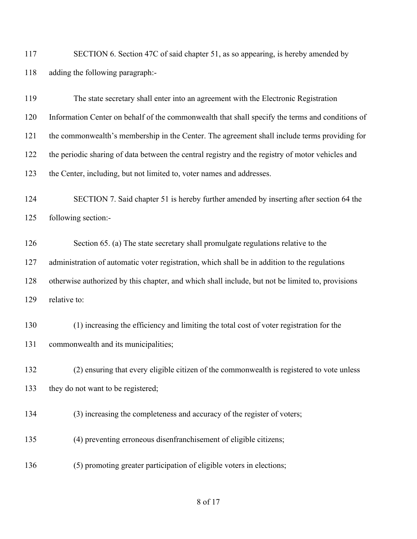SECTION 6. Section 47C of said chapter 51, as so appearing, is hereby amended by adding the following paragraph:-

 The state secretary shall enter into an agreement with the Electronic Registration Information Center on behalf of the commonwealth that shall specify the terms and conditions of the commonwealth's membership in the Center. The agreement shall include terms providing for the periodic sharing of data between the central registry and the registry of motor vehicles and the Center, including, but not limited to, voter names and addresses. SECTION 7. Said chapter 51 is hereby further amended by inserting after section 64 the following section:- Section 65. (a) The state secretary shall promulgate regulations relative to the administration of automatic voter registration, which shall be in addition to the regulations otherwise authorized by this chapter, and which shall include, but not be limited to, provisions relative to: (1) increasing the efficiency and limiting the total cost of voter registration for the commonwealth and its municipalities; (2) ensuring that every eligible citizen of the commonwealth is registered to vote unless 133 they do not want to be registered; (3) increasing the completeness and accuracy of the register of voters; (4) preventing erroneous disenfranchisement of eligible citizens;

(5) promoting greater participation of eligible voters in elections;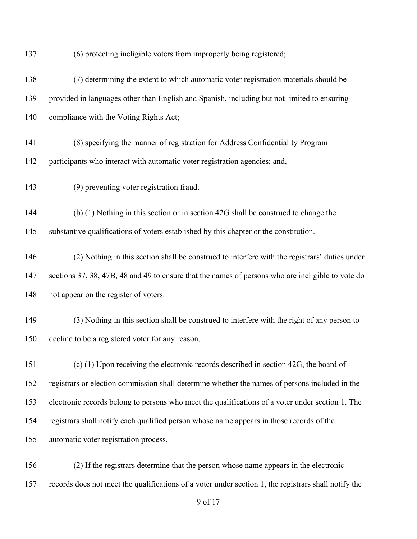(6) protecting ineligible voters from improperly being registered;

 (7) determining the extent to which automatic voter registration materials should be provided in languages other than English and Spanish, including but not limited to ensuring compliance with the Voting Rights Act; (8) specifying the manner of registration for Address Confidentiality Program participants who interact with automatic voter registration agencies; and, (9) preventing voter registration fraud. (b) (1) Nothing in this section or in section 42G shall be construed to change the 145 substantive qualifications of voters established by this chapter or the constitution. (2) Nothing in this section shall be construed to interfere with the registrars' duties under sections 37, 38, 47B, 48 and 49 to ensure that the names of persons who are ineligible to vote do not appear on the register of voters. (3) Nothing in this section shall be construed to interfere with the right of any person to decline to be a registered voter for any reason. (c) (1) Upon receiving the electronic records described in section 42G, the board of registrars or election commission shall determine whether the names of persons included in the electronic records belong to persons who meet the qualifications of a voter under section 1. The registrars shall notify each qualified person whose name appears in those records of the automatic voter registration process.

 (2) If the registrars determine that the person whose name appears in the electronic records does not meet the qualifications of a voter under section 1, the registrars shall notify the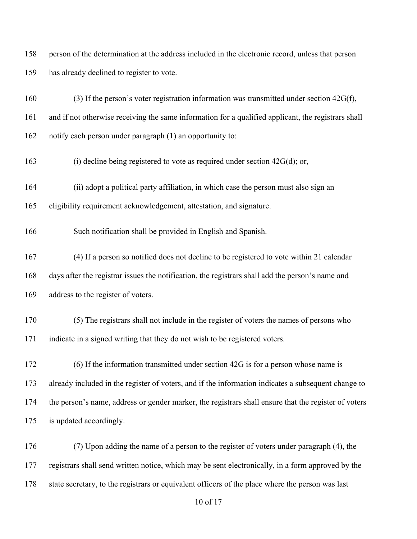person of the determination at the address included in the electronic record, unless that person has already declined to register to vote.

 (3) If the person's voter registration information was transmitted under section 42G(f), and if not otherwise receiving the same information for a qualified applicant, the registrars shall notify each person under paragraph (1) an opportunity to:

(i) decline being registered to vote as required under section 42G(d); or,

(ii) adopt a political party affiliation, in which case the person must also sign an

eligibility requirement acknowledgement, attestation, and signature.

Such notification shall be provided in English and Spanish.

 (4) If a person so notified does not decline to be registered to vote within 21 calendar days after the registrar issues the notification, the registrars shall add the person's name and address to the register of voters.

 (5) The registrars shall not include in the register of voters the names of persons who indicate in a signed writing that they do not wish to be registered voters.

 (6) If the information transmitted under section 42G is for a person whose name is already included in the register of voters, and if the information indicates a subsequent change to the person's name, address or gender marker, the registrars shall ensure that the register of voters is updated accordingly.

 (7) Upon adding the name of a person to the register of voters under paragraph (4), the registrars shall send written notice, which may be sent electronically, in a form approved by the state secretary, to the registrars or equivalent officers of the place where the person was last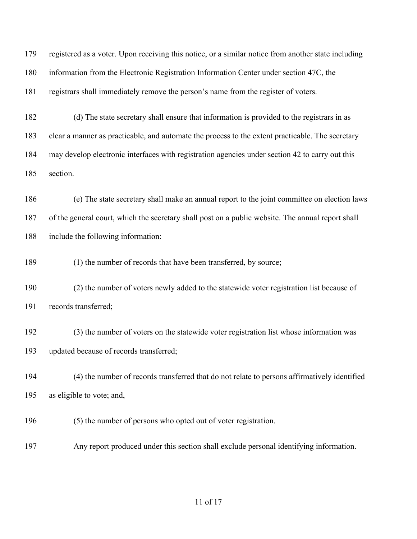registered as a voter. Upon receiving this notice, or a similar notice from another state including information from the Electronic Registration Information Center under section 47C, the registrars shall immediately remove the person's name from the register of voters.

 (d) The state secretary shall ensure that information is provided to the registrars in as clear a manner as practicable, and automate the process to the extent practicable. The secretary may develop electronic interfaces with registration agencies under section 42 to carry out this section.

 (e) The state secretary shall make an annual report to the joint committee on election laws of the general court, which the secretary shall post on a public website. The annual report shall include the following information:

(1) the number of records that have been transferred, by source;

 (2) the number of voters newly added to the statewide voter registration list because of records transferred;

 (3) the number of voters on the statewide voter registration list whose information was updated because of records transferred;

 (4) the number of records transferred that do not relate to persons affirmatively identified as eligible to vote; and,

(5) the number of persons who opted out of voter registration.

Any report produced under this section shall exclude personal identifying information.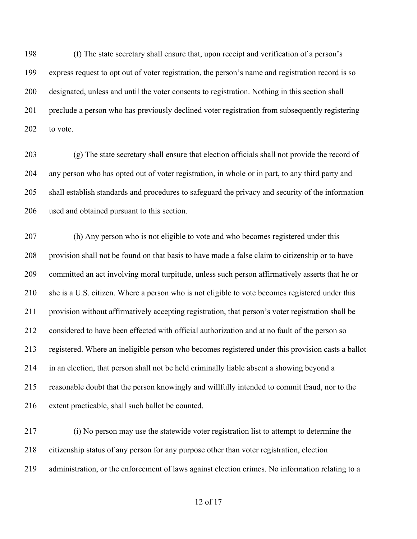(f) The state secretary shall ensure that, upon receipt and verification of a person's express request to opt out of voter registration, the person's name and registration record is so designated, unless and until the voter consents to registration. Nothing in this section shall preclude a person who has previously declined voter registration from subsequently registering 202 to vote.

 (g) The state secretary shall ensure that election officials shall not provide the record of any person who has opted out of voter registration, in whole or in part, to any third party and shall establish standards and procedures to safeguard the privacy and security of the information used and obtained pursuant to this section.

 (h) Any person who is not eligible to vote and who becomes registered under this provision shall not be found on that basis to have made a false claim to citizenship or to have committed an act involving moral turpitude, unless such person affirmatively asserts that he or she is a U.S. citizen. Where a person who is not eligible to vote becomes registered under this provision without affirmatively accepting registration, that person's voter registration shall be considered to have been effected with official authorization and at no fault of the person so registered. Where an ineligible person who becomes registered under this provision casts a ballot in an election, that person shall not be held criminally liable absent a showing beyond a reasonable doubt that the person knowingly and willfully intended to commit fraud, nor to the extent practicable, shall such ballot be counted.

 (i) No person may use the statewide voter registration list to attempt to determine the citizenship status of any person for any purpose other than voter registration, election administration, or the enforcement of laws against election crimes. No information relating to a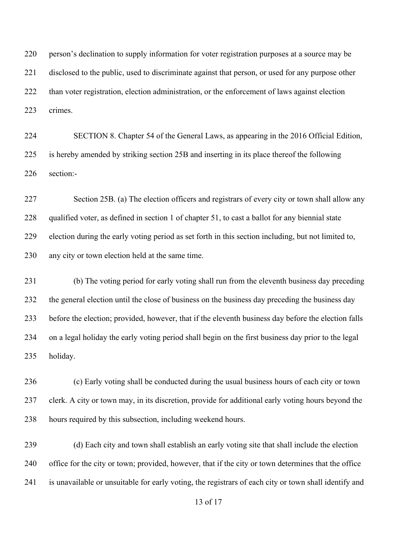person's declination to supply information for voter registration purposes at a source may be disclosed to the public, used to discriminate against that person, or used for any purpose other than voter registration, election administration, or the enforcement of laws against election crimes.

 SECTION 8. Chapter 54 of the General Laws, as appearing in the 2016 Official Edition, is hereby amended by striking section 25B and inserting in its place thereof the following section:-

 Section 25B. (a) The election officers and registrars of every city or town shall allow any qualified voter, as defined in section 1 of chapter 51, to cast a ballot for any biennial state election during the early voting period as set forth in this section including, but not limited to, any city or town election held at the same time.

 (b) The voting period for early voting shall run from the eleventh business day preceding the general election until the close of business on the business day preceding the business day before the election; provided, however, that if the eleventh business day before the election falls on a legal holiday the early voting period shall begin on the first business day prior to the legal holiday.

 (c) Early voting shall be conducted during the usual business hours of each city or town clerk. A city or town may, in its discretion, provide for additional early voting hours beyond the hours required by this subsection, including weekend hours.

 (d) Each city and town shall establish an early voting site that shall include the election office for the city or town; provided, however, that if the city or town determines that the office is unavailable or unsuitable for early voting, the registrars of each city or town shall identify and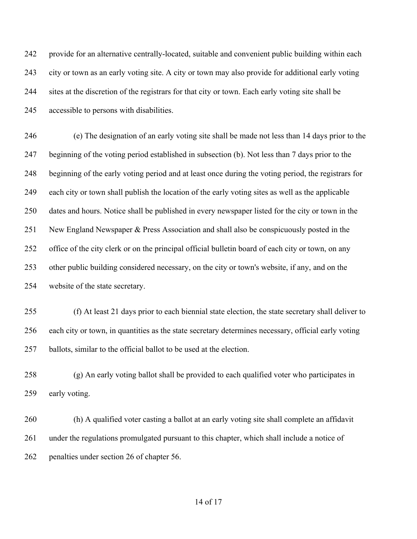provide for an alternative centrally-located, suitable and convenient public building within each city or town as an early voting site. A city or town may also provide for additional early voting sites at the discretion of the registrars for that city or town. Each early voting site shall be accessible to persons with disabilities.

 (e) The designation of an early voting site shall be made not less than 14 days prior to the beginning of the voting period established in subsection (b). Not less than 7 days prior to the beginning of the early voting period and at least once during the voting period, the registrars for each city or town shall publish the location of the early voting sites as well as the applicable dates and hours. Notice shall be published in every newspaper listed for the city or town in the New England Newspaper & Press Association and shall also be conspicuously posted in the office of the city clerk or on the principal official bulletin board of each city or town, on any other public building considered necessary, on the city or town's website, if any, and on the website of the state secretary.

 (f) At least 21 days prior to each biennial state election, the state secretary shall deliver to each city or town, in quantities as the state secretary determines necessary, official early voting ballots, similar to the official ballot to be used at the election.

 (g) An early voting ballot shall be provided to each qualified voter who participates in 259 early voting.

 (h) A qualified voter casting a ballot at an early voting site shall complete an affidavit under the regulations promulgated pursuant to this chapter, which shall include a notice of penalties under section 26 of chapter 56.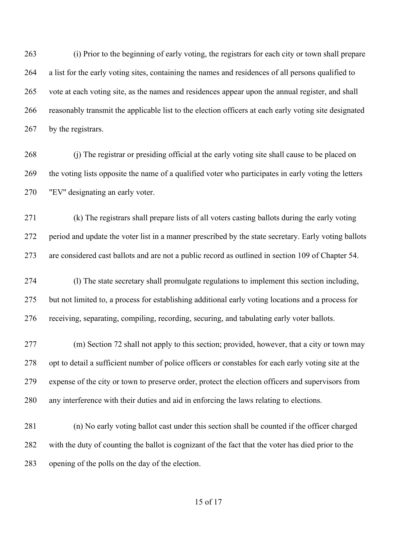(i) Prior to the beginning of early voting, the registrars for each city or town shall prepare a list for the early voting sites, containing the names and residences of all persons qualified to vote at each voting site, as the names and residences appear upon the annual register, and shall reasonably transmit the applicable list to the election officers at each early voting site designated 267 by the registrars.

 (j) The registrar or presiding official at the early voting site shall cause to be placed on the voting lists opposite the name of a qualified voter who participates in early voting the letters "EV'' designating an early voter.

 (k) The registrars shall prepare lists of all voters casting ballots during the early voting period and update the voter list in a manner prescribed by the state secretary. Early voting ballots are considered cast ballots and are not a public record as outlined in section 109 of Chapter 54.

 (l) The state secretary shall promulgate regulations to implement this section including, but not limited to, a process for establishing additional early voting locations and a process for receiving, separating, compiling, recording, securing, and tabulating early voter ballots.

 (m) Section 72 shall not apply to this section; provided, however, that a city or town may opt to detail a sufficient number of police officers or constables for each early voting site at the expense of the city or town to preserve order, protect the election officers and supervisors from any interference with their duties and aid in enforcing the laws relating to elections.

 (n) No early voting ballot cast under this section shall be counted if the officer charged with the duty of counting the ballot is cognizant of the fact that the voter has died prior to the opening of the polls on the day of the election.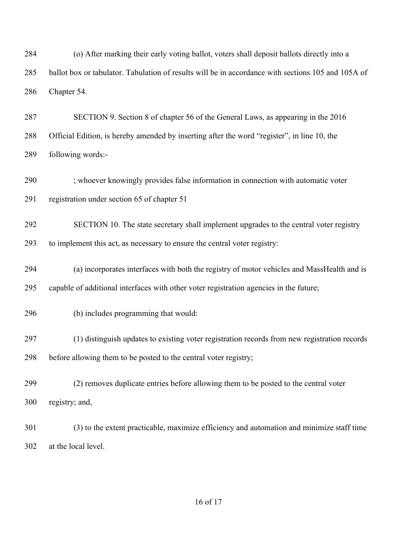(o) After marking their early voting ballot, voters shall deposit ballots directly into a ballot box or tabulator. Tabulation of results will be in accordance with sections 105 and 105A of Chapter 54.

 SECTION 9. Section 8 of chapter 56 of the General Laws, as appearing in the 2016 Official Edition, is hereby amended by inserting after the word "register", in line 10, the following words:-

; whoever knowingly provides false information in connection with automatic voter

registration under section 65 of chapter 51

SECTION 10. The state secretary shall implement upgrades to the central voter registry

to implement this act, as necessary to ensure the central voter registry:

(a) incorporates interfaces with both the registry of motor vehicles and MassHealth and is

capable of additional interfaces with other voter registration agencies in the future;

- (b) includes programming that would:
- (1) distinguish updates to existing voter registration records from new registration records before allowing them to be posted to the central voter registry;
- (2) removes duplicate entries before allowing them to be posted to the central voter registry; and,
- (3) to the extent practicable, maximize efficiency and automation and minimize staff time at the local level.